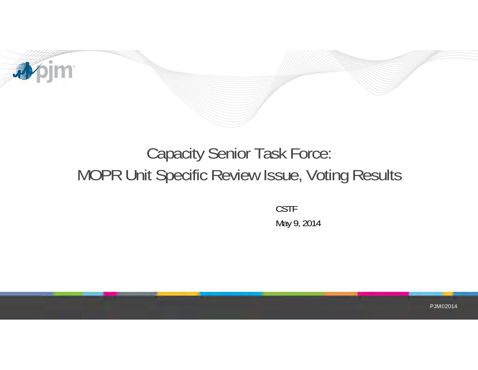

## Capacity Senior Task Force: MOPR Unit Specific Review Issue, Voting Results

CSTF May 9, 2014

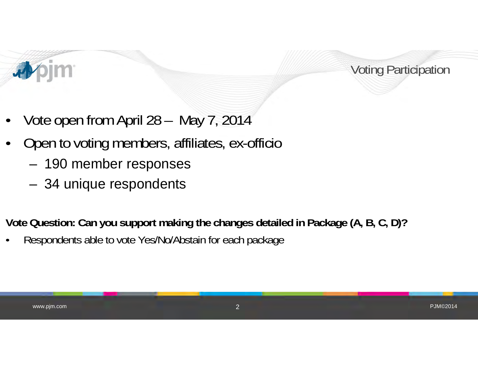



- •Vote open from April 28 – May 7, 2014
- • Open to voting members, affiliates, ex-officio
	- 190 member responses
	- 34 unique respondents

**Vote Question: Can you support making the changes detailed in Package (A, B, C, D)?**

•Respondents able to vote Yes/No/Abstain for each package

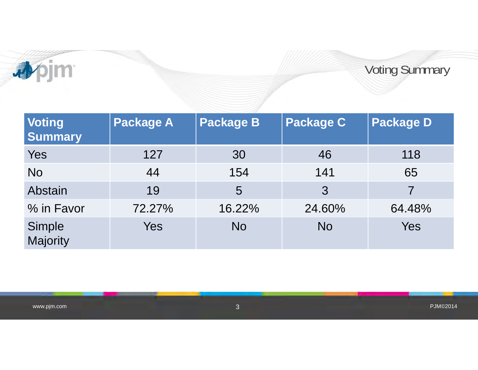

Voting Summary

| <b>Voting</b><br><b>Summary</b> | <b>Package A</b> | Package B | <b>Package C</b> | <b>Package D</b> |
|---------------------------------|------------------|-----------|------------------|------------------|
| Yes                             | 127              | 30        | 46               | 118              |
| <b>No</b>                       | 44               | 154       | 141              | 65               |
| Abstain                         | 19               | 5         | 3                |                  |
| % in Favor                      | 72.27%           | 16.22%    | 24.60%           | 64.48%           |
| Simple<br>Majority              | Yes              | <b>No</b> | <b>No</b>        | <b>Yes</b>       |

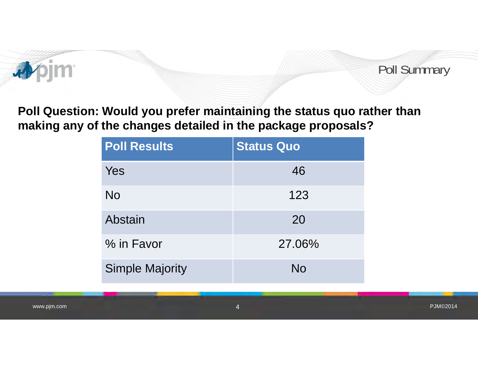

Poll Summary

PJM©2014

**Poll Question: Would you prefer maintaining the status quo rather than making any of the changes detailed in the package proposals?**

| <b>Poll Results</b>    | <b>Status Quo</b> |  |
|------------------------|-------------------|--|
| Yes                    | 46                |  |
| <b>No</b>              | 123               |  |
| Abstain                | 20                |  |
| % in Favor             | 27.06%            |  |
| <b>Simple Majority</b> | No                |  |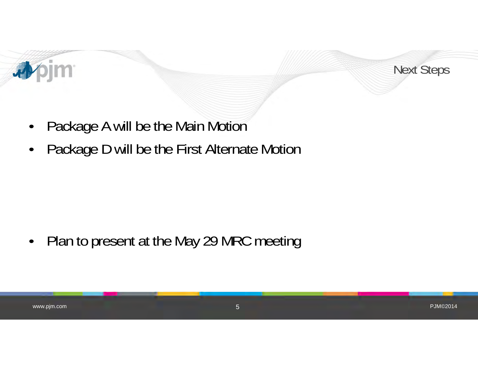



- $\bullet$ Package A will be the Main Motion
- •Package D will be the First Alternate Motion

 $\bullet$ Plan to present at the May 29 MRC meeting